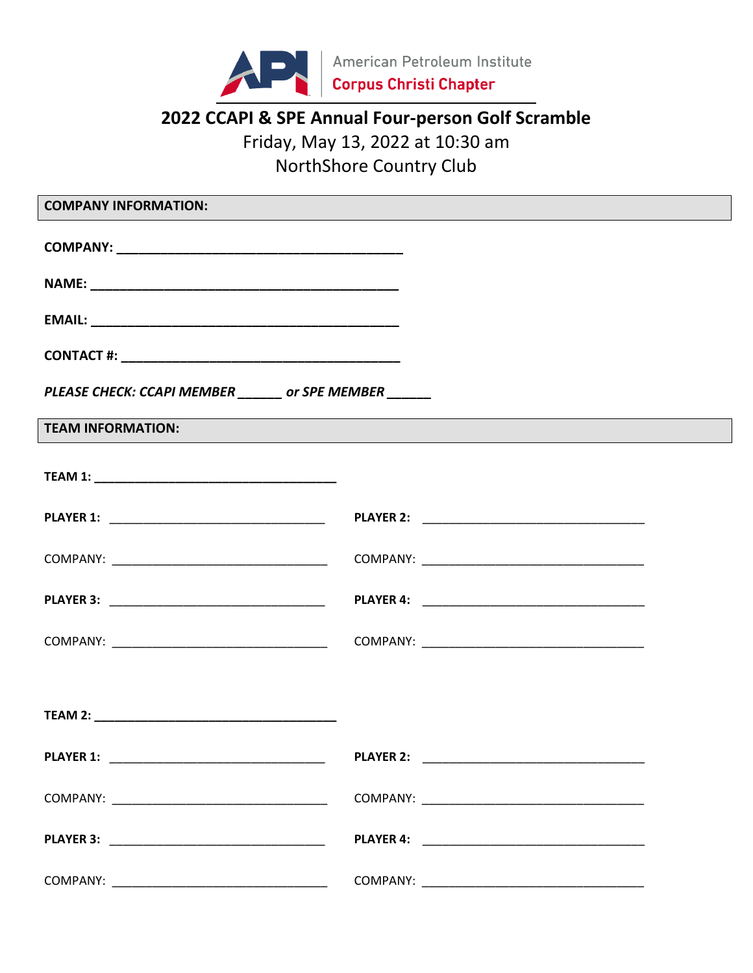

# 2022 CCAPI & SPE Annual Four-person Golf Scramble Friday, May 13, 2022 at 10:30 am NorthShore Country Club

| <b>COMPANY INFORMATION:</b>                            |                                                                                                                                                 |  |  |  |
|--------------------------------------------------------|-------------------------------------------------------------------------------------------------------------------------------------------------|--|--|--|
|                                                        |                                                                                                                                                 |  |  |  |
|                                                        |                                                                                                                                                 |  |  |  |
|                                                        |                                                                                                                                                 |  |  |  |
|                                                        |                                                                                                                                                 |  |  |  |
| PLEASE CHECK: CCAPI MEMBER ______ or SPE MEMBER ______ |                                                                                                                                                 |  |  |  |
| <b>TEAM INFORMATION:</b>                               | ,我们也不能在这里的时候,我们也不能在这里的时候,我们也不能会不能会不能会不能会不能会不能会不能会不能会不能会不能会。<br>第2012章 我们的时候,我们的时候,我们的时候,我们的时候,我们的时候,我们的时候,我们的时候,我们的时候,我们的时候,我们的时候,我们的时候,我们的时候,我 |  |  |  |
|                                                        |                                                                                                                                                 |  |  |  |
|                                                        |                                                                                                                                                 |  |  |  |
|                                                        |                                                                                                                                                 |  |  |  |
|                                                        |                                                                                                                                                 |  |  |  |
|                                                        |                                                                                                                                                 |  |  |  |
|                                                        |                                                                                                                                                 |  |  |  |
|                                                        |                                                                                                                                                 |  |  |  |
|                                                        |                                                                                                                                                 |  |  |  |
|                                                        |                                                                                                                                                 |  |  |  |
|                                                        |                                                                                                                                                 |  |  |  |
|                                                        |                                                                                                                                                 |  |  |  |